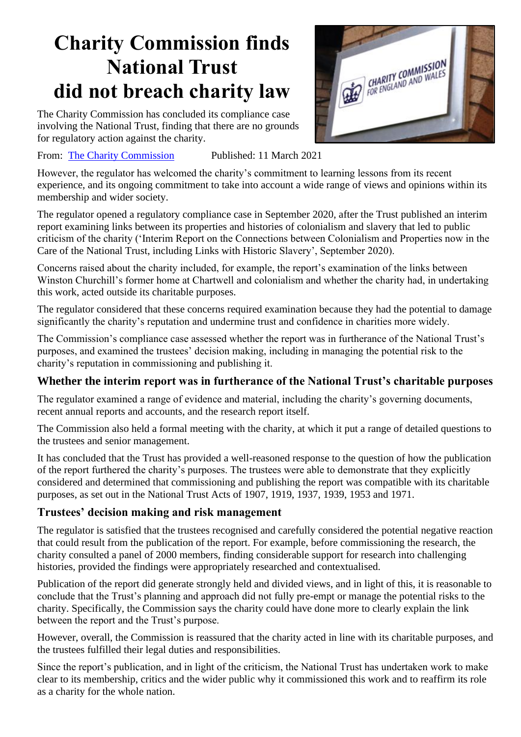## **Charity Commission finds National Trust did not breach charity law**

The Charity Commission has concluded its compliance case involving the National Trust, finding that there are no grounds for regulatory action against the charity.

From: [The Charity Commission](https://www.gov.uk/government/organisations/charity-commission) Published: 11 March 2021

However, the regulator has welcomed the charity's commitment to learning lessons from its recent experience, and its ongoing commitment to take into account a wide range of views and opinions within its membership and wider society.

The regulator opened a regulatory compliance case in September 2020, after the Trust published an interim report examining links between its properties and histories of colonialism and slavery that led to public criticism of the charity ('Interim Report on the Connections between Colonialism and Properties now in the Care of the National Trust, including Links with Historic Slavery', September 2020).

Concerns raised about the charity included, for example, the report's examination of the links between Winston Churchill's former home at Chartwell and colonialism and whether the charity had, in undertaking this work, acted outside its charitable purposes.

The regulator considered that these concerns required examination because they had the potential to damage significantly the charity's reputation and undermine trust and confidence in charities more widely.

The Commission's compliance case assessed whether the report was in furtherance of the National Trust's purposes, and examined the trustees' decision making, including in managing the potential risk to the charity's reputation in commissioning and publishing it.

## **Whether the interim report was in furtherance of the National Trust's charitable purposes**

The regulator examined a range of evidence and material, including the charity's governing documents, recent annual reports and accounts, and the research report itself.

The Commission also held a formal meeting with the charity, at which it put a range of detailed questions to the trustees and senior management.

It has concluded that the Trust has provided a well-reasoned response to the question of how the publication of the report furthered the charity's purposes. The trustees were able to demonstrate that they explicitly considered and determined that commissioning and publishing the report was compatible with its charitable purposes, as set out in the National Trust Acts of 1907, 1919, 1937, 1939, 1953 and 1971.

## **Trustees' decision making and risk management**

The regulator is satisfied that the trustees recognised and carefully considered the potential negative reaction that could result from the publication of the report. For example, before commissioning the research, the charity consulted a panel of 2000 members, finding considerable support for research into challenging histories, provided the findings were appropriately researched and contextualised.

Publication of the report did generate strongly held and divided views, and in light of this, it is reasonable to conclude that the Trust's planning and approach did not fully pre-empt or manage the potential risks to the charity. Specifically, the Commission says the charity could have done more to clearly explain the link between the report and the Trust's purpose.

However, overall, the Commission is reassured that the charity acted in line with its charitable purposes, and the trustees fulfilled their legal duties and responsibilities.

Since the report's publication, and in light of the criticism, the National Trust has undertaken work to make clear to its membership, critics and the wider public why it commissioned this work and to reaffirm its role as a charity for the whole nation.